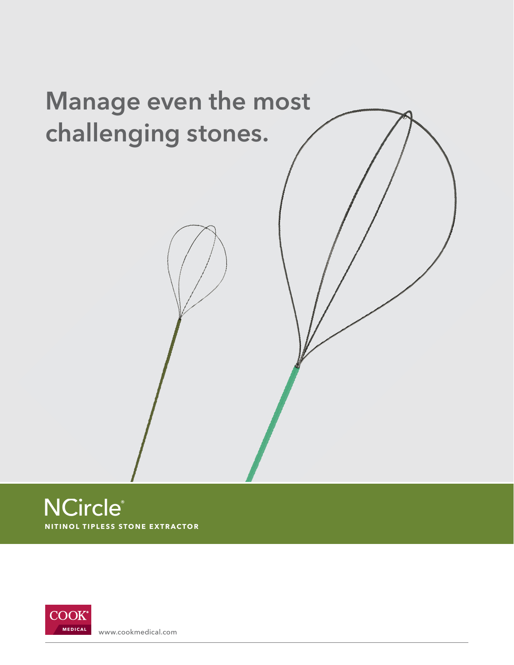





www.cookmedical.com **MEDICAL**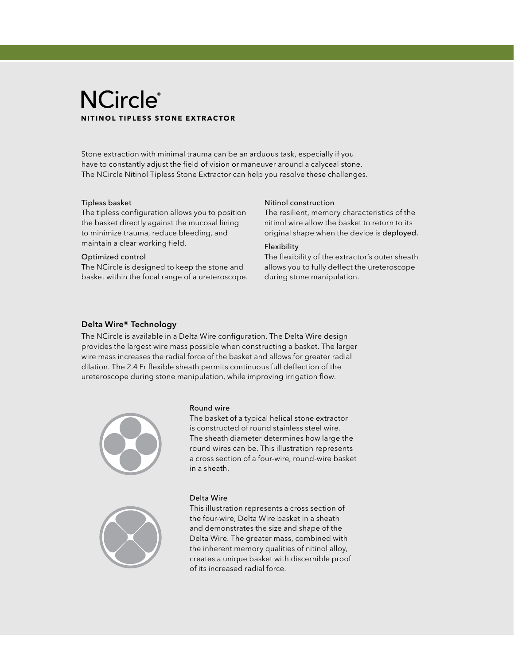# **NCircle® NITINOL TIPLES S STONE EXTRACTOR**

Stone extraction with minimal trauma can be an arduous task, especially if you have to constantly adjust the field of vision or maneuver around a calyceal stone. The NCircle Nitinol Tipless Stone Extractor can help you resolve these challenges.

# Tipless basket

The tipless configuration allows you to position the basket directly against the mucosal lining to minimize trauma, reduce bleeding, and maintain a clear working field.

## Optimized control

The NCircle is designed to keep the stone and basket within the focal range of a ureteroscope.

# Nitinol construction

The resilient, memory characteristics of the nitinol wire allow the basket to return to its original shape when the device is deployed.

# Flexibility

The flexibility of the extractor's outer sheath allows you to fully deflect the ureteroscope during stone manipulation.

# Delta Wire® Technology

The NCircle is available in a Delta Wire configuration. The Delta Wire design provides the largest wire mass possible when constructing a basket. The larger wire mass increases the radial force of the basket and allows for greater radial dilation. The 2.4 Fr flexible sheath permits continuous full deflection of the ureteroscope during stone manipulation, while improving irrigation flow.



### Round wire

The basket of a typical helical stone extractor is constructed of round stainless steel wire. The sheath diameter determines how large the round wires can be. This illustration represents a cross section of a four-wire, round-wire basket in a sheath.



# Delta Wire

This illustration represents a cross section of the four-wire, Delta Wire basket in a sheath and demonstrates the size and shape of the Delta Wire. The greater mass, combined with the inherent memory qualities of nitinol alloy, creates a unique basket with discernible proof of its increased radial force.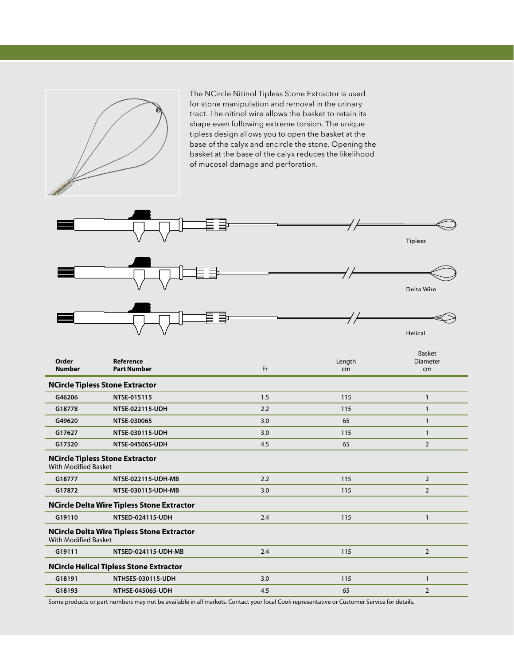

The NCircle Nitinol Tipless Stone Extractor is used for stone manipulation and removal in the urinary tract. The nitinol wire allows the basket to retain its shape even following extreme torsion. The unique tipless design allows you to open the basket at the base of the calyx and encircle the stone. Opening the basket at the base of the calyx reduces the likelihood of mucosal damage and perforation.



| Order<br><b>Number</b>      | Reference<br><b>Part Number</b>                   | Fr  | Length<br>cm | <b>Basket</b><br>Diameter<br>cm |
|-----------------------------|---------------------------------------------------|-----|--------------|---------------------------------|
|                             | <b>NCircle Tipless Stone Extractor</b>            |     |              |                                 |
| G46206                      | NTSE-015115                                       | 1.5 | 115          | $\mathbf{1}$                    |
| G18778                      | NTSE-022115-UDH                                   | 2.2 | 115          | $\mathbf{1}$                    |
| G49620                      | NTSE-030065                                       | 3.0 | 65           | 1                               |
| G17627                      | NTSE-030115-UDH                                   | 3.0 | 115          | 1                               |
| G17520                      | NTSE-045065-UDH                                   | 4.5 | 65           | $\overline{2}$                  |
| <b>With Modified Basket</b> | <b>NCircle Tipless Stone Extractor</b>            |     |              |                                 |
| G18777                      | NTSE-022115-UDH-MB                                | 2.2 | 115          | $\overline{2}$                  |
| G17872                      | NTSE-030115-UDH-MB                                | 3.0 | 115          | $\overline{2}$                  |
|                             | <b>NCircle Delta Wire Tipless Stone Extractor</b> |     |              |                                 |
| G19110                      | NTSED-024115-UDH                                  | 2.4 | 115          | 1                               |
| <b>With Modified Basket</b> | <b>NCircle Delta Wire Tipless Stone Extractor</b> |     |              |                                 |
| G19111                      | NTSED-024115-UDH-MB                               | 2.4 | 115          | $\overline{2}$                  |
|                             | <b>NCircle Helical Tipless Stone Extractor</b>    |     |              |                                 |
| G18191                      | NTHSES-030115-UDH                                 | 3.0 | 115          | $\mathbf{1}$                    |
| G18193                      | <b>NTHSE-045065-UDH</b>                           | 4.5 | 65           | $\overline{2}$                  |

Some products or part numbers may not be available in all markets. Contact your local Cook representative or Customer Service for details.